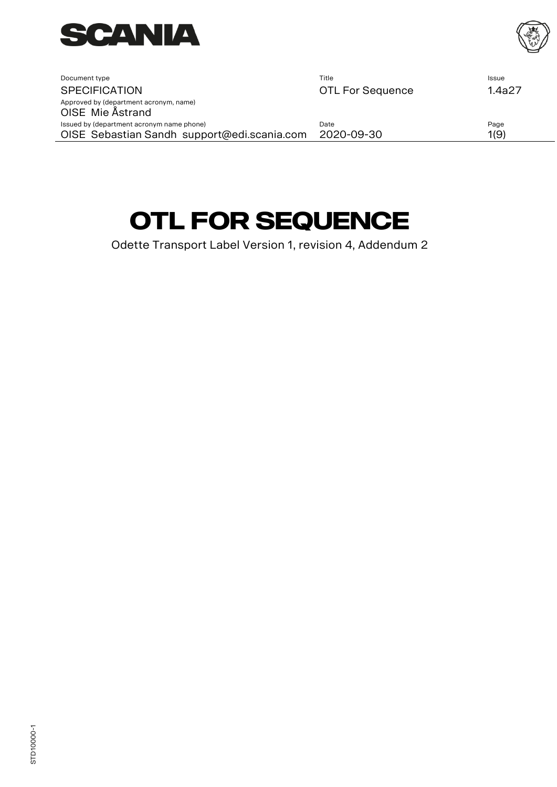

<span id="page-0-0"></span>

| Document type                                              | Title                   | Issue  |
|------------------------------------------------------------|-------------------------|--------|
| <b>SPECIFICATION</b>                                       | <b>OTL For Sequence</b> | 1.4a27 |
| Approved by (department acronym, name)<br>OISE Mie Åstrand |                         |        |
| Issued by (department acronym name phone)                  | Date                    | Page   |
| OISE Sebastian Sandh support@edi.scania.com                | 2020-09-30              | 1(9)   |
|                                                            |                         |        |

# **[OTL For Sequence](#page-0-0)**

Odette Transport Label Version 1, revision 4, Addendum 2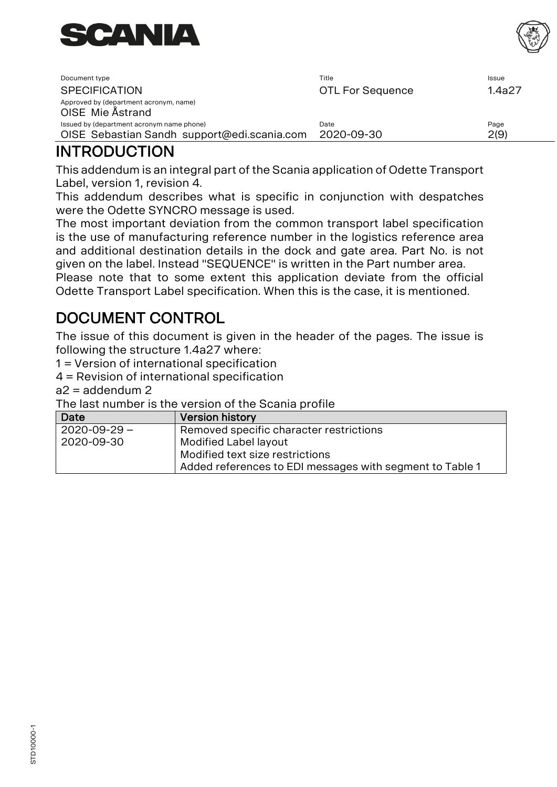

| Document type                                              | Title                   | Issue  |
|------------------------------------------------------------|-------------------------|--------|
| <b>SPECIFICATION</b>                                       | <b>OTL For Sequence</b> | 1.4a27 |
| Approved by (department acronym, name)<br>OISE Mie Ästrand |                         |        |
| Issued by (department acronym name phone)                  | Date                    | Page   |
| OISE Sebastian Sandh support@edi.scania.com                | 2020-09-30              | 2(9)   |

### INTRODUCTION

This addendum is an integral part of the Scania application of Odette Transport Label, version 1, revision 4.

This addendum describes what is specific in conjunction with despatches were the Odette SYNCRO message is used.

The most important deviation from the common transport label specification is the use of manufacturing reference number in the logistics reference area and additional destination details in the dock and gate area. Part No. is not given on the label. Instead "SEQUENCE" is written in the Part number area. Please note that to some extent this application deviate from the official Odette Transport Label specification. When this is the case, it is mentioned.

## DOCUMENT CONTROL

The issue of this document is given in the header of the pages. The issue is following the structure 1.4a27 where:

1 = Version of international specification

4 = Revision of international specification

 $a2 = addendum 2$ 

The last number is the version of the Scania profile

| Date               | <b>Version history</b>                                   |
|--------------------|----------------------------------------------------------|
| $2020 - 09 - 29 -$ | Removed specific character restrictions                  |
| 2020-09-30         | Modified Label layout                                    |
|                    | Modified text size restrictions                          |
|                    | Added references to EDI messages with segment to Table 1 |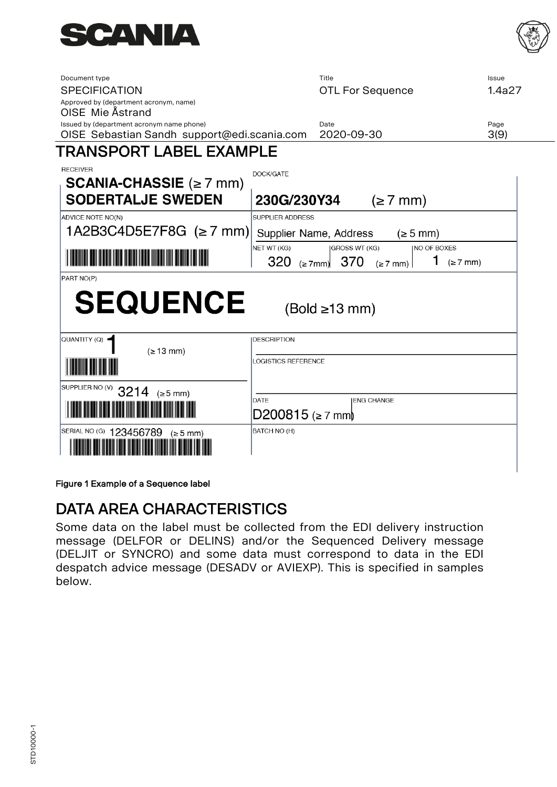

| Document type<br><b>SPECIFICATION</b><br>Approved by (department acronym, name)<br>OISE Mie Ästrand | Title<br><b>OTL For Sequence</b>                                                                                                  | Issue<br>1.4a27 |
|-----------------------------------------------------------------------------------------------------|-----------------------------------------------------------------------------------------------------------------------------------|-----------------|
| Issued by (department acronym name phone)<br>OISE Sebastian Sandh support@edi.scania.com            | Date<br>2020-09-30                                                                                                                | Page<br>3(9)    |
| TRANSPORT LABEL EXAMPLE                                                                             |                                                                                                                                   |                 |
| <b>RECEIVER</b><br><b>SCANIA-CHASSIE</b> ( $\geq$ 7 mm)                                             | DOCK/GATE                                                                                                                         |                 |
| <b>SODERTALJE SWEDEN</b>                                                                            | 230G/230Y34<br>$(\geq 7$ mm)                                                                                                      |                 |
| ADVICE NOTE NO(N)                                                                                   | SUPPLIER ADDRESS                                                                                                                  |                 |
| 1A2B3C4D5E7F8G $(\geq 7$ mm)                                                                        | Supplier Name, Address<br>$(\geq 5$ mm)                                                                                           |                 |
|                                                                                                     | NET WT (KG)<br><b>INO OF BOXES</b><br><b>GROSS WT (KG)</b><br>1<br>320<br>370<br>$(\geq 7$ mm)<br>$(\geq 7$ mm)<br>$(z \gt 7$ mm) |                 |
| PART NO(P)                                                                                          |                                                                                                                                   |                 |
| <b>SEQUENCE</b>                                                                                     | $(Bold \ge 13 mm)$                                                                                                                |                 |
| QUANTITY (Q)                                                                                        | <b>DESCRIPTION</b>                                                                                                                |                 |
| $( \geq 13 \text{ mm})$                                                                             | <b>LOGISTICS REFERENCE</b>                                                                                                        |                 |
| SUPPLIER NO (V)<br>3214<br>$(\geq 5$ mm)                                                            |                                                                                                                                   |                 |
|                                                                                                     | DATE<br><b>IENG CHANGE</b><br>$D200815$ (≥ 7 mm)                                                                                  |                 |
| SERIAL NO (G) 123456789<br>(≥ 5 mm)                                                                 | BATCH NO (H)                                                                                                                      |                 |

Figure 1 Example of a Sequence label

### DATA AREA CHARACTERISTICS

Some data on the label must be collected from the EDI delivery instruction message (DELFOR or DELINS) and/or the Sequenced Delivery message (DELJIT or SYNCRO) and some data must correspond to data in the EDI despatch advice message (DESADV or AVIEXP). This is specified in samples below.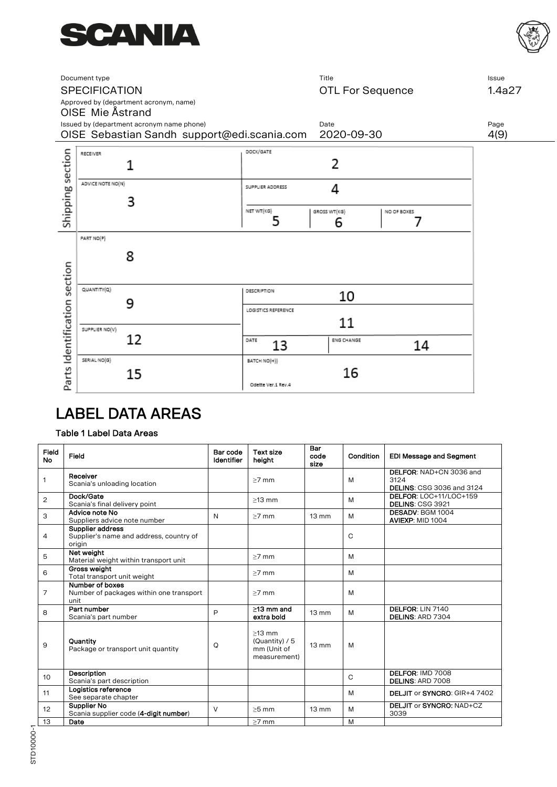



|                              | Document type<br><b>SPECIFICATION</b><br>Approved by (department acronym, name)<br>OISE Mie Åstrand | Title<br><b>OTL For Sequence</b>                                             | Issue<br>1.4a27 |
|------------------------------|-----------------------------------------------------------------------------------------------------|------------------------------------------------------------------------------|-----------------|
|                              | Issued by (department acronym name phone)<br>OISE Sebastian Sandh support@edi.scania.com            | Date<br>2020-09-30                                                           | Page<br>4(9)    |
|                              | RECEIVER<br>1                                                                                       | DOCK/GATE<br>2                                                               |                 |
| Shipping section             | ADVICE NOTE NO(N)<br>3                                                                              | SUPPLIER ADDRESS<br>4<br>NET WT(KG)<br>GROSS WT(KG)<br>NO OF BOXES<br>5<br>6 |                 |
|                              | PART NO(P)<br>8                                                                                     |                                                                              |                 |
| Parts Identification section | QUANTITY(Q)<br>9                                                                                    | <b>DESCRIPTION</b><br>10<br>LOGISTICS REFERENCE                              |                 |
|                              | SUPPLIER NO(V)<br>12                                                                                | 11<br>DATE<br>ENG CHANGE<br>13<br>14                                         |                 |
|                              | SERIAL NO(G)<br>15                                                                                  | BATCH NO(H)}<br>16<br>Odette Ver.1 Rev.4                                     |                 |

### LABEL DATA AREAS

#### Table 1 Label Data Areas

| Field<br><b>No</b> | Field                                                                 | Bar code<br>Identifier | <b>Text size</b><br>height                                    | Bar<br>code<br>size | Condition | <b>EDI Message and Segment</b>                                      |
|--------------------|-----------------------------------------------------------------------|------------------------|---------------------------------------------------------------|---------------------|-----------|---------------------------------------------------------------------|
| 1                  | Receiver<br>Scania's unloading location                               |                        | $>7$ mm                                                       |                     | M         | DELFOR: NAD+CN 3036 and<br>3124<br><b>DELINS: CSG 3036 and 3124</b> |
| 2                  | Dock/Gate<br>Scania's final delivery point                            |                        | $>13$ mm                                                      |                     | M         | DELFOR: LOC+11/LOC+159<br><b>DELINS: CSG 3921</b>                   |
| 3                  | Advice note No<br>Suppliers advice note number                        | $\mathbb N$            | $>7$ mm                                                       | $13 \text{ mm}$     | M         | DESADV: BGM 1004<br>AVIEXP: MID 1004                                |
| 4                  | Supplier address<br>Supplier's name and address, country of<br>origin |                        |                                                               |                     | C         |                                                                     |
| 5                  | Net weight<br>Material weight within transport unit                   |                        | $>7$ mm                                                       |                     | M         |                                                                     |
| 6                  | Gross weight<br>Total transport unit weight                           |                        | $>7$ mm                                                       |                     | M         |                                                                     |
| $\overline{7}$     | Number of boxes<br>Number of packages within one transport<br>unit    |                        | $>7$ mm                                                       |                     | M         |                                                                     |
| 8                  | Part number<br>Scania's part number                                   | P                      | $>13$ mm and<br>extra bold                                    | $13 \text{ mm}$     | M         | DELFOR: LIN 7140<br><b>DELINS: ARD 7304</b>                         |
| 9                  | Quantity<br>Package or transport unit quantity                        | Q                      | $\geq$ 13 mm<br>(Quantity) / 5<br>mm (Unit of<br>measurement) | $13 \text{ mm}$     | M         |                                                                     |
| 10                 | Description<br>Scania's part description                              |                        |                                                               |                     | C         | DELFOR: IMD 7008<br><b>DELINS: ARD 7008</b>                         |
| 11                 | Logistics reference<br>See separate chapter                           |                        |                                                               |                     | M         | DELJIT or SYNCRO: GIR+4 7402                                        |
| 12                 | <b>Supplier No</b><br>Scania supplier code (4-digit number)           | $\vee$                 | $>5$ mm                                                       | 13 mm               | M         | DELJIT or SYNCRO, NAD+CZ<br>3039                                    |
| 13                 | Date                                                                  |                        | $>7$ mm                                                       |                     | M         |                                                                     |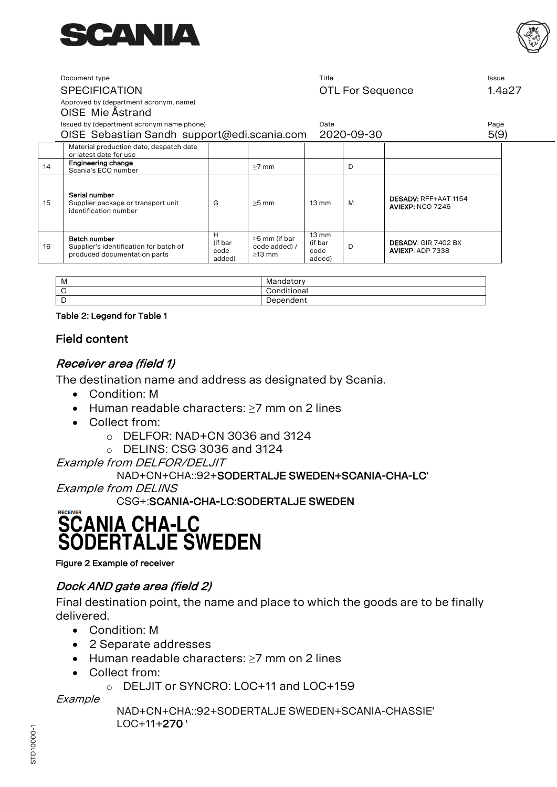



#### Document type Title Issue SPECIFICATION **SPECIFICATION CONSUMING SPECIFICATION CONSUMING SET ALLOWS SET ALLOWSED SET ALLOWSED SET ALLOWSED SET ALLOWSED SET ALLOWSED SET ALLOWSED SET ALLOWSED SET ALLOWSED SET ALLOWSED SET ALLOWSED SET ALLOWSED S**

Approved by (department acronym, name)

#### OISE Mie Åstrand

Issued by (department acronym name phone) Date Page

|    | issued by tuepartment acronyminame priorie,                                            |                                |                                            | Dale                                         |            |                                                       | r ayc |
|----|----------------------------------------------------------------------------------------|--------------------------------|--------------------------------------------|----------------------------------------------|------------|-------------------------------------------------------|-------|
|    | OISE Sebastian Sandh support@edi.scania.com                                            |                                |                                            |                                              | 2020-09-30 |                                                       | 5(9)  |
|    | Material production date, despatch date<br>or latest date for use                      |                                |                                            |                                              |            |                                                       |       |
| 14 | Engineering change<br>Scania's ECO number                                              |                                | $>7$ mm                                    |                                              | D          |                                                       |       |
| 15 | Serial number<br>Supplier package or transport unit<br>identification number           | G                              | $>5$ mm                                    | $13 \text{ mm}$                              | M          | DESADV: RFF+AAT 1154<br>AVIEXP: NCO 7246              |       |
| 16 | Batch number<br>Supplier's identification for batch of<br>produced documentation parts | H<br>(if bar<br>code<br>added) | >5 mm (if bar<br>code added) /<br>$>13$ mm | $13 \text{ mm}$<br>(if bar<br>code<br>added) | D          | <b>DESADV: GIR 7402 BX</b><br><b>AVIEXP: ADP 7338</b> |       |

| M | $\sim$<br>Mandator |
|---|--------------------|
|   | .<br>Conditional   |
| - | Dependent          |

#### Table 2: Legend for Table 1

#### Field content

#### Receiver area (field 1)

The destination name and address as designated by Scania.

- Condition: M
- Human readable characters: ≥7 mm on 2 lines
- Collect from:
	- o DELFOR: NAD+CN 3036 and 3124
	- o DELINS: CSG 3036 and 3124

Example from DELFOR/DELJIT

#### NAD+CN+CHA::92+SODERTALJE SWEDEN+SCANIA-CHA-LC'

Example from DELINS

CSG+:SCANIA-CHA-LC:SODERTALJE SWEDEN

### **RECEIVER SCANIA CHA-LC SODERTALJE SWEDEN**

Figure 2 Example of receiver

#### Dock AND gate area (field 2)

Final destination point, the name and place to which the goods are to be finally delivered.

- Condition: M
- 2 Separate addresses
- Human readable characters: ≥7 mm on 2 lines
- Collect from:
	- o DELJIT or SYNCRO: LOC+11 and LOC+159

**Example** 

NAD+CN+CHA::92+SODERTALJE SWEDEN+SCANIA-CHASSIE' LOC+11+270 '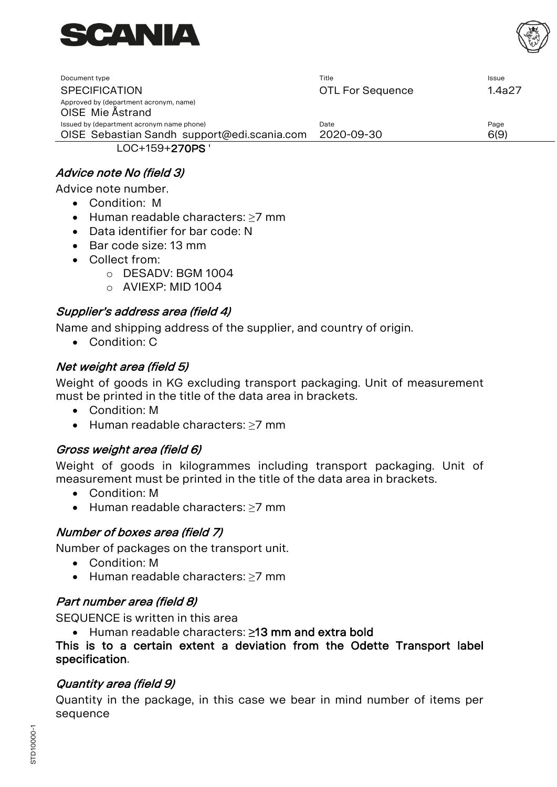



| Document type                                              | Title                   | Issue  |
|------------------------------------------------------------|-------------------------|--------|
| <b>SPECIFICATION</b>                                       | <b>OTL For Sequence</b> | 1.4a27 |
| Approved by (department acronym, name)<br>OISE Mie Ästrand |                         |        |
| Issued by (department acronym name phone)                  | Date                    | Page   |
| OISE Sebastian Sandh support@edi.scania.com                | 2020-09-30              | 6(9)   |
| LOC+159+270PS '                                            |                         |        |

#### Advice note No (field 3)

Advice note number.

- Condition: M
- Human readable characters: ≥7 mm
- Data identifier for bar code: N
- Bar code size: 13 mm
- Collect from:
	- o DESADV: BGM 1004
	- $\circ$  AVIFXP: MID 1004

#### Supplier's address area (field 4)

Name and shipping address of the supplier, and country of origin.

• Condition: C

#### Net weight area (field 5)

Weight of goods in KG excluding transport packaging. Unit of measurement must be printed in the title of the data area in brackets.

- Condition: M
- Human readable characters: ≥7 mm

#### Gross weight area (field 6)

Weight of goods in kilogrammes including transport packaging. Unit of measurement must be printed in the title of the data area in brackets.

- Condition: M
- Human readable characters: ≥7 mm

#### Number of boxes area (field 7)

Number of packages on the transport unit.

- Condition: M
- Human readable characters: ≥7 mm

#### Part number area (field 8)

SEQUENCE is written in this area

• Human readable characters: **≥**13 mm and extra bold

#### This is to a certain extent a deviation from the Odette Transport label specification.

#### Quantity area (field 9)

Quantity in the package, in this case we bear in mind number of items per sequence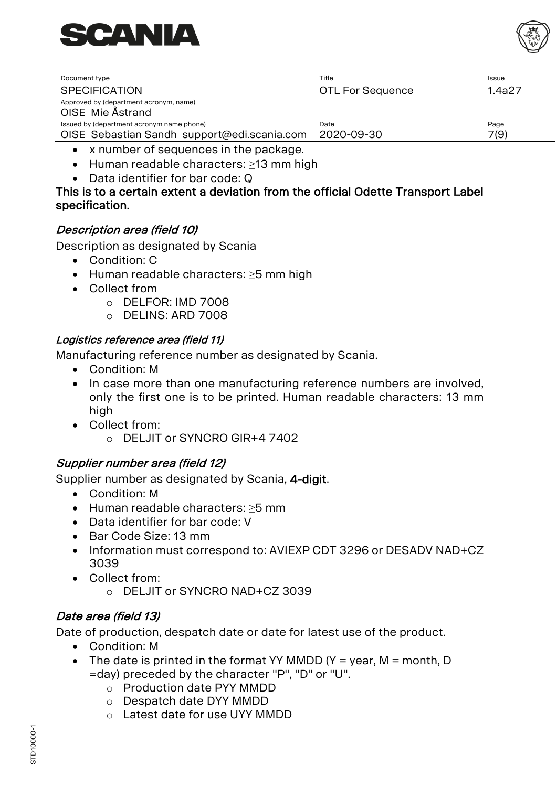

| Document type                                              | Title                   | <b>Issue</b> |
|------------------------------------------------------------|-------------------------|--------------|
| <b>SPECIFICATION</b>                                       | <b>OTL For Sequence</b> | 1.4a27       |
| Approved by (department acronym, name)<br>OISE Mie Åstrand |                         |              |
| Issued by (department acronym name phone)                  | Date                    | Page         |
| OISE Sebastian Sandh support@edi.scania.com                | 2020-09-30              | 7(9)         |

- x number of sequences in the package.
- Human readable characters: ≥13 mm high
- Data identifier for bar code: Q

#### This is to a certain extent a deviation from the official Odette Transport Label specification.

#### Description area (field 10)

Description as designated by Scania

- Condition: C
- Human readable characters: ≥5 mm high
- Collect from
	- o DELFOR: IMD 7008
	- o DELINS: ARD 7008

#### Logistics reference area (field 11)

Manufacturing reference number as designated by Scania.

- Condition: M
- In case more than one manufacturing reference numbers are involved, only the first one is to be printed. Human readable characters: 13 mm high
- Collect from:  $\circ$  DELJIT or SYNCRO GIR+4 7402

#### Supplier number area (field 12)

Supplier number as designated by Scania, 4-digit.

- Condition: M
- Human readable characters: ≥5 mm
- Data identifier for bar code: V
- Bar Code Size: 13 mm
- Information must correspond to: AVIEXP CDT 3296 or DESADV NAD+CZ 3039
- Collect from:
	- o DELJIT or SYNCRO NAD+CZ 3039

#### Date area (field 13)

Date of production, despatch date or date for latest use of the product.

- Condition: M
- The date is printed in the format YY MMDD (Y = year, M = month, D =day) preceded by the character "P", "D" or "U".
	- o Production date PYY MMDD
	- o Despatch date DYY MMDD
	- o Latest date for use UYY MMDD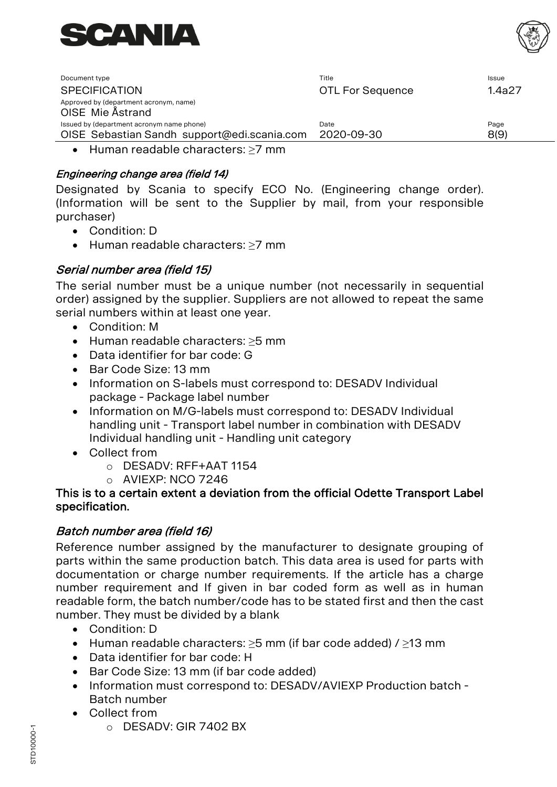



| Document type                                                                            | Title                   | Issue        |
|------------------------------------------------------------------------------------------|-------------------------|--------------|
| <b>SPECIFICATION</b>                                                                     | <b>OTL For Sequence</b> | 1.4a27       |
| Approved by (department acronym, name)<br>OISE Mie Ästrand                               |                         |              |
| Issued by (department acronym name phone)<br>OISE Sebastian Sandh support@edi.scania.com | Date<br>2020-09-30      | Page<br>8(9) |

• Human readable characters: ≥7 mm

#### Engineering change area (field 14)

Designated by Scania to specify ECO No. (Engineering change order). (Information will be sent to the Supplier by mail, from your responsible purchaser)

- Condition: D
- Human readable characters: ≥7 mm

#### Serial number area (field 15)

The serial number must be a unique number (not necessarily in sequential order) assigned by the supplier. Suppliers are not allowed to repeat the same serial numbers within at least one year.

- Condition: M
- Human readable characters: ≥5 mm
- Data identifier for bar code: G
- Bar Code Size: 13 mm
- Information on S-labels must correspond to: DESADV Individual package - Package label number
- Information on M/G-labels must correspond to: DESADV Individual handling unit - Transport label number in combination with DESADV Individual handling unit - Handling unit category
- Collect from
	- o DESADV: RFF+AAT 1154
	- o AVIEXP: NCO 7246

#### This is to a certain extent a deviation from the official Odette Transport Label specification.

#### Batch number area (field 16)

Reference number assigned by the manufacturer to designate grouping of parts within the same production batch. This data area is used for parts with documentation or charge number requirements. If the article has a charge number requirement and If given in bar coded form as well as in human readable form, the batch number/code has to be stated first and then the cast number. They must be divided by a blank

- Condition: D
- Human readable characters: ≥5 mm (if bar code added) / ≥13 mm
- Data identifier for bar code: H
- Bar Code Size: 13 mm (if bar code added)
- Information must correspond to: DESADV/AVIEXP Production batch Batch number
- Collect from
	- o DESADV: GIR 7402 BX